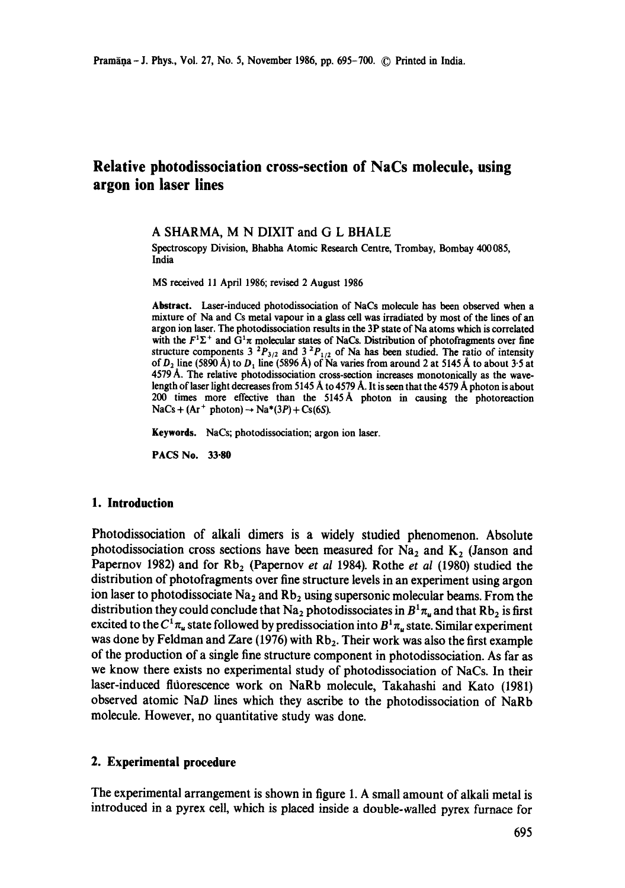# **Relative photodissociation cross-section of NaCs molecule, using argon ion laser lines**

#### A SHARMA, M N DIXIT and G L BHALE

Spectroscopy Division, Bhabha Atomic Research Centre, Trombay, Bombay 400085, India

MS received 11 April 1986; revised 2 August 1986

**Abstract.** Laser-induced photodissociation of NaCs molecule has been observed when a mixture of Na and Cs metal vapour in a glass cell was irradiated by most of the lines of an argon ion laser. The photodissociation results in the 3P state of Na atoms which is correlated with the  $F^1\Sigma^+$  and  $G^1\pi$  molecular states of NaCs. Distribution of photofragments over fine structure components 3<sup>2</sup>P<sub>3/2</sub> and 3<sup>2</sup>P<sub>1/2</sub> of Na has been studied. The ratio of intensity of  $D_2$  line (5890 Å) to  $D_1$  line (5896 Å) of Na varies from around 2 at 5145 Å to about 3.5 at 4579 A. The relative photodissociation cross-section increases monotonically as the wavelength of laser light decreases from 5145 A to 4579 A. It is seen that the 4579 A photon is about 200 times more effective than the 5145A photon in causing the photoreaction  $NaCs + (Ar^+$  photon)  $\rightarrow Na^*(3P) + Cs(6S)$ .

**Keywords.** NaCs; photodissociation; argon ion laser.

**PACS** No. 33-80

## **1. Introduction**

Photodissociation of alkali dimers is a widely studied phenomenon. Absolute photodissociation cross sections have been measured for  $Na<sub>2</sub>$  and  $K<sub>2</sub>$  (Janson and Papernov 1982) and for Rb<sub>2</sub> (Papernov *et al* 1984). Rothe *et al* (1980) studied the distribution of photofragments over fine structure levels in an experiment using argon ion laser to photodissociate  $Na<sub>2</sub>$  and  $Rb<sub>2</sub>$  using supersonic molecular beams. From the distribution they could conclude that Na<sub>2</sub> photodissociates in  $B^1\pi_\mu$  and that Rb<sub>2</sub> is first excited to the  $C^1 \pi_u$  state followed by predissociation into  $B^1 \pi_u$  state. Similar experiment was done by Feldman and Zare (1976) with  $Rb<sub>2</sub>$ . Their work was also the first example of the production of a single fine structure component in photodissociation. As far as we know there exists no experimental study of photodissociation of NaCs. In their laser-induced fltiorescence work on NaRb molecule, Takahashi and Kato (1981) observed atomic NaD lines which they ascribe to the photodissociation of NaRb molecule. However, no quantitative study was done.

## **2. Experimental** procedure

The experimental arrangement is shown in figure 1. A small amount of alkali metal is introduced in a pyrex cell, which is placed inside a double-walled pyrex furnace for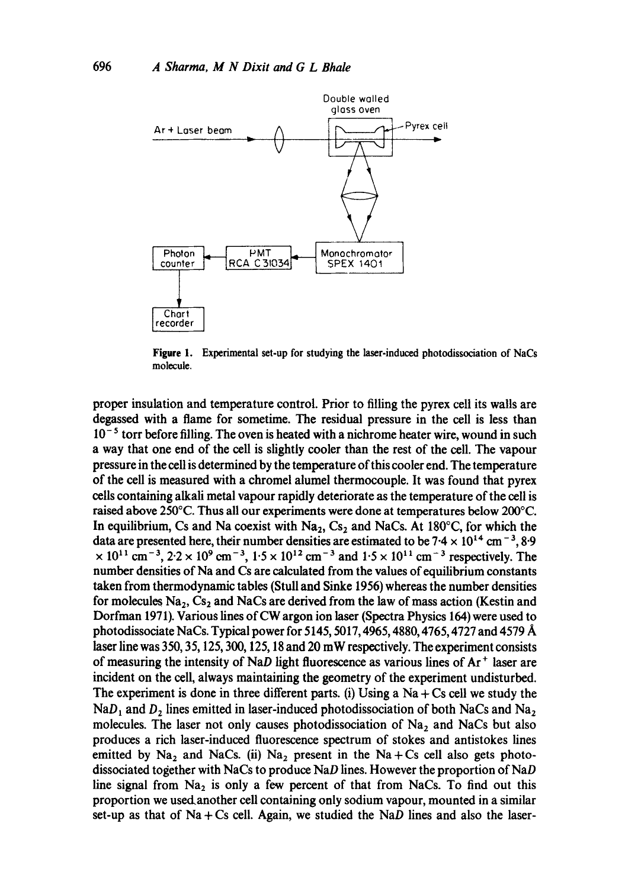

**Figure** 1. Experimental set-up for studying the laser-induced photodissociation of NaCs molecule.

proper insulation and temperature control. Prior to filling the pyrex cell its walls are degassed with a flame for sometime. The residual pressure in the cell is less than  $10^{-5}$  torr before filling. The oven is heated with a nichrome heater wire, wound in such a way that one end of the cell is slightly cooler than the rest of the cell. The vapour pressure in the cell is determined by the temperature of this cooler end. The temperature of the cell is measured with a chromel alumel thermocouple. It was found that pyrex cells containing alkali metal vapour rapidly deteriorate as the temperature of the cell is raised above 250°C. Thus all our experiments were done at temperatures below 200°C. In equilibrium, Cs and Na coexist with  $Na<sub>2</sub>$ , Cs<sub>2</sub> and NaCs. At 180°C, for which the data are presented here, their number densities are estimated to be  $7.4 \times 10^{14}$  cm<sup>-3</sup>, 8.9  $\times 10^{11}$  cm<sup>-3</sup>, 2.2  $\times 10^{9}$  cm<sup>-3</sup>, 1.5  $\times 10^{12}$  cm<sup>-3</sup> and 1.5  $\times 10^{11}$  cm<sup>-3</sup> respectively. The number densities of Na and Cs are calculated from the values of equilibrium constants taken from thermodynamic tables (StuU and Sinke 1956) whereas the number densities for molecules  $Na<sub>2</sub>$ , Cs<sub>2</sub> and NaCs are derived from the law of mass action (Kestin and Dorfman 1971). Various lines of CW argon ion laser (Spectra Physics 164) were used to photodissociate NaCs. Typical power for 5145, 5017, 4965, 4880, 4765, 4727 and 4579 A laser line was 350, 35,125, 300,125,18 and 20 mW respectively. The experiment consists of measuring the intensity of NaD light fluorescence as various lines of  $Ar^+$  laser are incident on the cell, always maintaining the geometry of the experiment undisturbed. The experiment is done in three different parts. (i) Using a  $Na + Cs$  cell we study the  $NaD<sub>1</sub>$  and  $D<sub>2</sub>$  lines emitted in laser-induced photodissociation of both NaCs and Na<sub>2</sub> molecules. The laser not only causes photodissociation of  $Na<sub>2</sub>$  and NaCs but also produces a rich laser-induced fluorescence spectrum of stokes and antistokes lines emitted by  $Na<sub>2</sub>$  and NaCs. (ii)  $Na<sub>2</sub>$  present in the Na + Cs cell also gets photodissociated together with NaCs to produce NaD lines. However the proportion of NaD line signal from  $Na<sub>2</sub>$  is only a few percent of that from NaCs. To find out this proportion we used.another cell containing only sodium vapour, mounted in a similar set-up as that of  $Na + Cs$  cell. Again, we studied the NaD lines and also the laser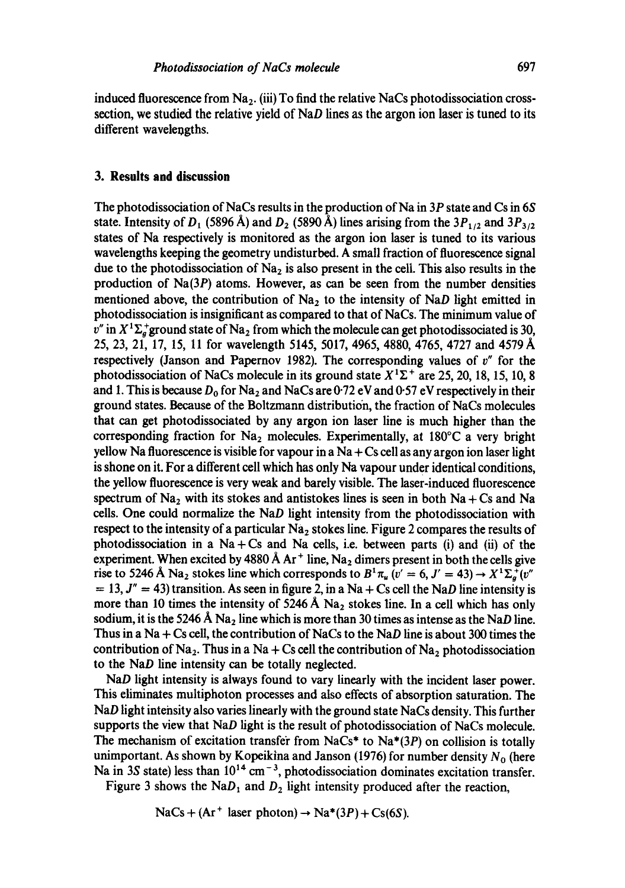induced fluorescence from  $Na<sub>2</sub>$ . (iii) To find the relative NaCs photodissociation crosssection, we studied the relative yield of  $NAD$  lines as the argon ion laser is tuned to its different wavelengths.

## **3. Results and discussion**

The photodissociation of NaCs results in the production of Na in 3P state and Cs in 6S state. Intensity of  $D_1$  (5896 Å) and  $D_2$  (5890 Å) lines arising from the  $3P_{1/2}$  and  $3P_{3/2}$ states of Na respectively is monitored as the argon ion laser is tuned to its various wavelengths keeping the geometry undisturbed. A small fraction of fluorescence signal due to the photodissociation of  $Na<sub>2</sub>$  is also present in the cell. This also results in the production of Na(3P) atoms. However, as can be seen from the number densities mentioned above, the contribution of  $Na<sub>2</sub>$  to the intensity of NaD light emitted in photodissociation is insignificant as compared to that of NaCs. The minimum value of  $v''$  in  $X<sup>1</sup>\Sigma_{\alpha}^{+}$  ground state of Na<sub>2</sub> from which the molecule can get photodissociated is 30, 25, 23, 21, 17, 15, 11 for wavelength 5145, 5017, 4965, 4880, 4765, 4727 and 4579 Å respectively (Janson and Papernov 1982). The corresponding values of  $v''$  for the photodissociation of NaCs molecule in its ground state  $X<sup>1</sup>\Sigma^{+}$  are 25, 20, 18, 15, 10, 8 and 1. This is because  $D_0$  for Na<sub>2</sub> and NaCs are 0.72 eV and 0.57 eV respectively in their ground states. Because of the Boltzmann distribution, the fraction of NaCs molecules that can get photodissociated by any argon ion laser line is much higher than the corresponding fraction for  $Na<sub>2</sub>$  molecules. Experimentally, at 180°C a very bright yellow Na fluorescence is visible for vapour in a Na  $+$  Cs cell as any argon ion laser light is shone on it. For a different cell which has only Na vapour under identical conditions, the yellow fluorescence is very weak and barely visible. The laser-induced fluorescence spectrum of Na<sub>2</sub> with its stokes and antistokes lines is seen in both Na + Cs and Na cells. One could normalize the NaD light intensity from the photodissociation with respect to the intensity of a particular  $Na<sub>2</sub>$  stokes line. Figure 2 compares the results of photodissociation in a  $Na + Cs$  and  $Na$  cells, i.e. between parts (i) and (ii) of the experiment. When excited by 4880 Å  $Ar<sup>+</sup>$  line, Na<sub>2</sub> dimers present in both the cells give rise to 5246 Å Na<sub>2</sub> stokes line which corresponds to  $B^1\pi_u$  (v' = 6, J' = 43)  $\rightarrow X^1\Sigma_a^+(v^{\prime\prime})$  $= 13$ ,  $J'' = 43$ ) transition. As seen in figure 2, in a Na + Cs cell the NaD line intensity is more than 10 times the intensity of 5246 Å  $Na<sub>2</sub>$  stokes line. In a cell which has only sodium, it is the 5246 Å  $Na<sub>2</sub>$  line which is more than 30 times as intense as the NaD line. Thus in a Na + Cs cell, the contribution of NaCs to the NaD line is about 300 times the contribution of Na<sub>2</sub>. Thus in a Na + Cs cell the contribution of Na<sub>2</sub> photodissociation to the NaD line intensity can be totally neglected.

NaD light intensity is always found to vary linearly with the incident laser power. This eliminates multiphoton processes and also effects of absorption saturation. The NaD light intensity also varies linearly with the ground state NaCs density. This further supports the view that NaD light is the result of photodissociation of NaCs molecule. The mechanism of excitation transfer from NaCs\* to Na $*(3P)$  on collision is totally unimportant. As shown by Kopeikina and Janson (1976) for number density  $N_0$  (here Na in 3S state) less than  $10^{14}$  cm<sup>-3</sup>, photodissociation dominates excitation transfer.

Figure 3 shows the Na $D_1$  and  $D_2$  light intensity produced after the reaction,

 $NaCs + (Ar^+ laser photon) \rightarrow Na^*(3P) + Cs(6S).$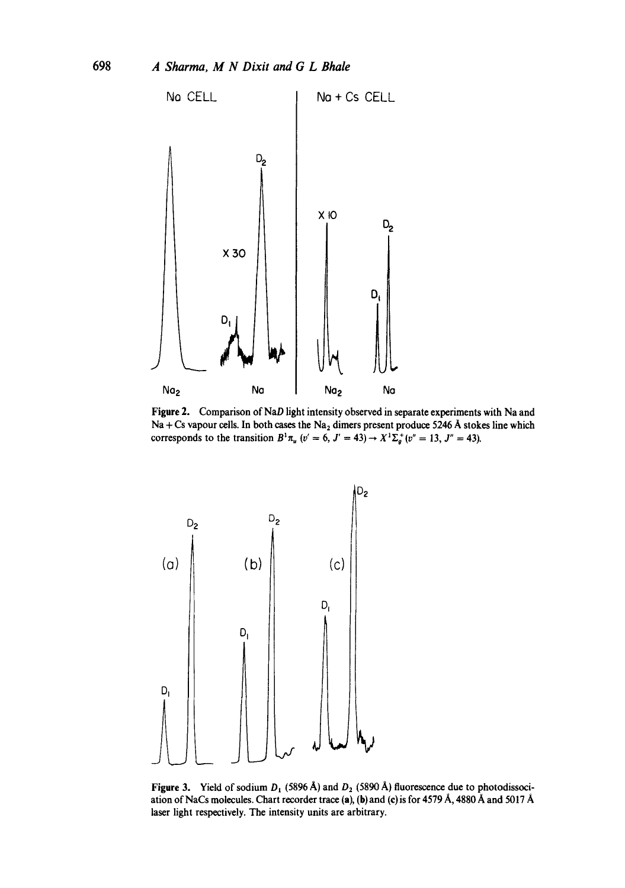

Figure 2. Comparison of NaD light intensity observed in separate experiments with Na and Na + Cs vapour cells. In both cases the Na<sub>2</sub> dimers present produce 5246 A stokes line which corresponds to the transition  $B^{1}\pi_{u}$  (v' = 6, J' = 43)  $\rightarrow X^{1}\Sigma_{g}^{+}(v'' = 13, J'' = 43)$ .



Figure 3. Yield of sodium  $D_1$  (5896 Å) and  $D_2$  (5890 Å) fluorescence due to photodissociation of NaCs molecules. Chart recorder trace (a), (b) and (c) is for 4579 A, 4880 A and 5017 A laser light respectively. The intensity units are arbitrary,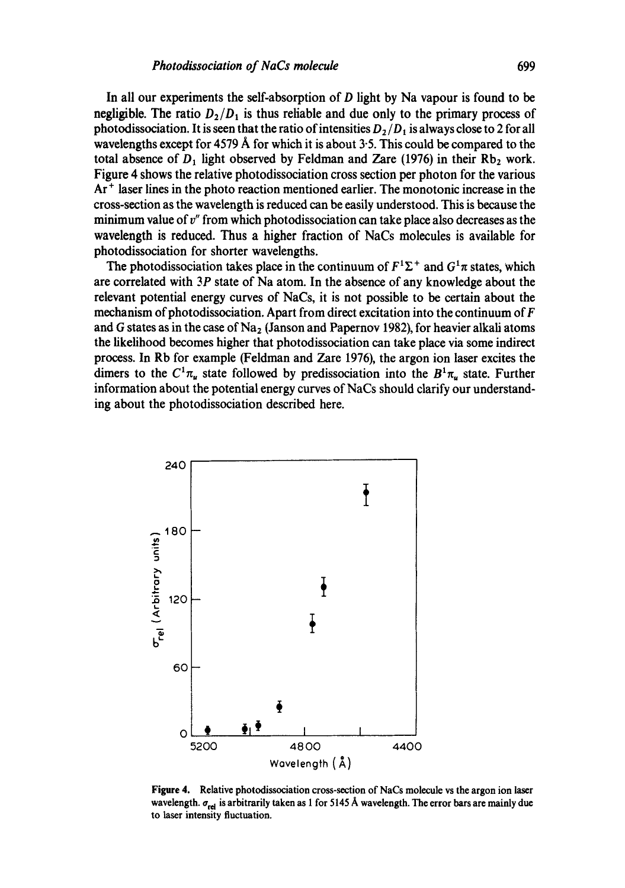In all our experiments the self-absorption of D light by Na vapour is found to be negligible. The ratio  $D_2/D_1$  is thus reliable and due only to the primary process of photodissociation. It is seen that the ratio of intensities  $D_2/D_1$  is always close to 2 for all wavelengths except for  $4579 \text{ Å}$  for which it is about 3.5. This could be compared to the total absence of  $D_1$  light observed by Feldman and Zare (1976) in their Rb<sub>2</sub> work. Figure 4 shows the relative photodissociation cross section per photon for the various Ar<sup>+</sup> laser lines in the photo reaction mentioned earlier. The monotonic increase in the cross-section as the wavelength is reduced can be easily understood. This is because the minimum value of *v"* from which photodissociation can take place also decreases as the wavelength is reduced. Thus a higher fraction of NaCs molecules is available for photodissociation for shorter wavelengths.

The photodissociation takes place in the continuum of  $F^1\Sigma^+$  and  $G^1\pi$  states, which are correlated with 3P state of Na atom. In the absence of any knowledge about the relevant potential energy curves of NaCs, it is not possible to be certain about the mechanism of photodissociation. Apart from direct excitation into the continuum of  $F$ and G states as in the case of  $Na<sub>2</sub>$  (Janson and Papernov 1982), for heavier alkali atoms the likelihood becomes higher that photodissociation can take place via some indirect process. In Rb for example (Feldman and Zare 1976), the argon ion laser excites the dimers to the  $C^1\pi_u$  state followed by predissociation into the  $B^1\pi_u$  state. Further information about the potential energy curves of NaCs should clarify our understanding about the photodissociation described here.



**Figure** 4. Relative photodissociation cross-section of NaCs molecule vs the argon ion laser wavelength.  $\sigma_{rel}$  is arbitrarily taken as 1 for 5145 Å wavelength. The error bars are mainly due to laser intensity fluctuation.